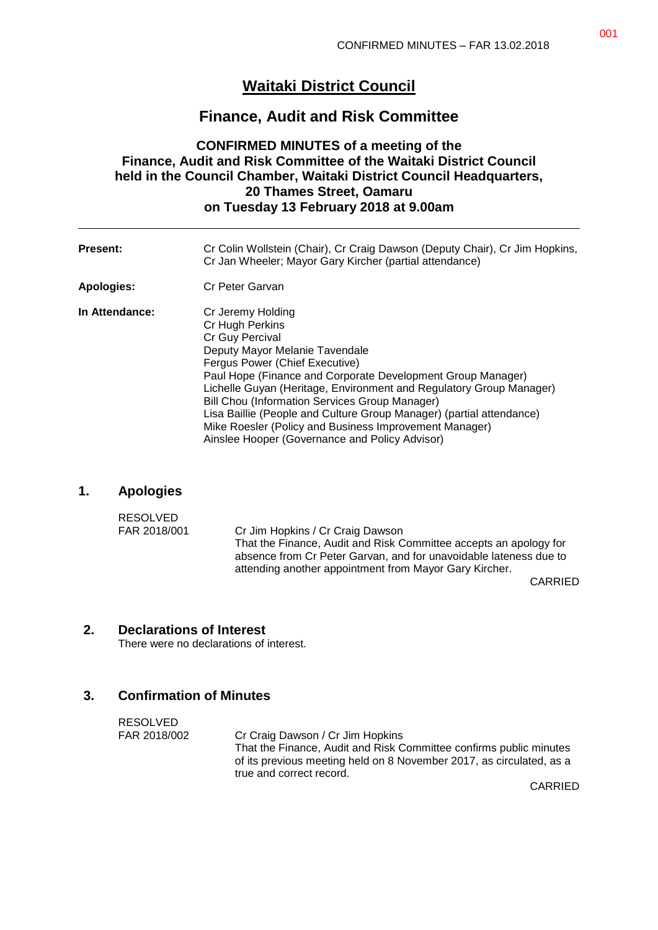# **Waitaki District Council**

# **Finance, Audit and Risk Committee**

# **CONFIRMED MINUTES of a meeting of the Finance, Audit and Risk Committee of the Waitaki District Council held in the Council Chamber, Waitaki District Council Headquarters, 20 Thames Street, Oamaru on Tuesday 13 February 2018 at 9.00am**

| <b>Present:</b> | Cr Colin Wollstein (Chair), Cr Craig Dawson (Deputy Chair), Cr Jim Hopkins,<br>Cr Jan Wheeler; Mayor Gary Kircher (partial attendance)                                                                                                                                                                                                                                                                                                                                                                         |
|-----------------|----------------------------------------------------------------------------------------------------------------------------------------------------------------------------------------------------------------------------------------------------------------------------------------------------------------------------------------------------------------------------------------------------------------------------------------------------------------------------------------------------------------|
| Apologies:      | Cr Peter Garvan                                                                                                                                                                                                                                                                                                                                                                                                                                                                                                |
| In Attendance:  | Cr Jeremy Holding<br>Cr Hugh Perkins<br>Cr Guy Percival<br>Deputy Mayor Melanie Tavendale<br>Fergus Power (Chief Executive)<br>Paul Hope (Finance and Corporate Development Group Manager)<br>Lichelle Guyan (Heritage, Environment and Regulatory Group Manager)<br><b>Bill Chou (Information Services Group Manager)</b><br>Lisa Baillie (People and Culture Group Manager) (partial attendance)<br>Mike Roesler (Policy and Business Improvement Manager)<br>Ainslee Hooper (Governance and Policy Advisor) |

### **1. Apologies**

| <b>RESOLVED</b> |                                                                   |
|-----------------|-------------------------------------------------------------------|
| FAR 2018/001    | Cr Jim Hopkins / Cr Craig Dawson                                  |
|                 | That the Finance, Audit and Risk Committee accepts an apology for |
|                 | absence from Cr Peter Garvan, and for unavoidable lateness due to |
|                 | attending another appointment from Mayor Gary Kircher.            |

CARRIED

### **2. Declarations of Interest**

There were no declarations of interest.

# **3. Confirmation of Minutes**

| RESOLVED     |                                                                                                                                                                        |
|--------------|------------------------------------------------------------------------------------------------------------------------------------------------------------------------|
| FAR 2018/002 | Cr Craig Dawson / Cr Jim Hopkins                                                                                                                                       |
|              | That the Finance, Audit and Risk Committee confirms public minutes<br>of its previous meeting held on 8 November 2017, as circulated, as a<br>true and correct record. |
|              | $\bigcap$ $\bigcap$ $\bigcap$ $\bigcap$                                                                                                                                |

CARRIED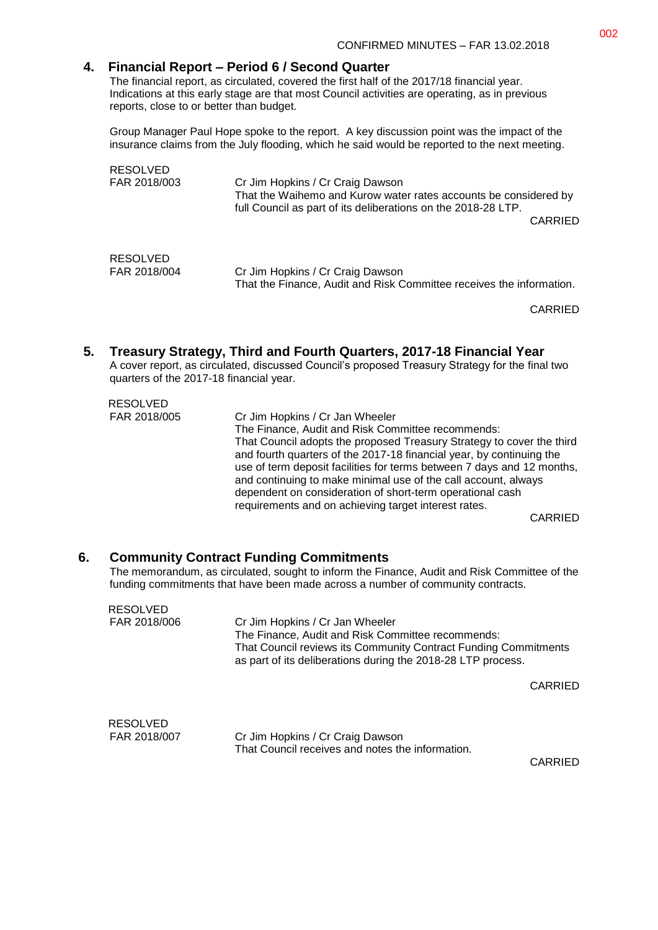#### **4. Financial Report – Period 6 / Second Quarter**

The financial report, as circulated, covered the first half of the 2017/18 financial year. Indications at this early stage are that most Council activities are operating, as in previous reports, close to or better than budget.

Group Manager Paul Hope spoke to the report. A key discussion point was the impact of the insurance claims from the July flooding, which he said would be reported to the next meeting.

| RESOLVED<br>FAR 2018/003 | Cr Jim Hopkins / Cr Craig Dawson<br>That the Waihemo and Kurow water rates accounts be considered by<br>full Council as part of its deliberations on the 2018-28 LTP.<br><b>CARRIED</b> |  |
|--------------------------|-----------------------------------------------------------------------------------------------------------------------------------------------------------------------------------------|--|
| <b>RESOLVED</b>          | Cr Jim Hopkins / Cr Craig Dawson                                                                                                                                                        |  |
| FAR 2018/004             | That the Finance, Audit and Risk Committee receives the information.                                                                                                                    |  |

CARRIED

#### **5. Treasury Strategy, Third and Fourth Quarters, 2017-18 Financial Year**

A cover report, as circulated, discussed Council's proposed Treasury Strategy for the final two quarters of the 2017-18 financial year.

| <b>RESOLVED</b> |                                                                        |
|-----------------|------------------------------------------------------------------------|
| FAR 2018/005    | Cr Jim Hopkins / Cr Jan Wheeler                                        |
|                 | The Finance, Audit and Risk Committee recommends:                      |
|                 | That Council adopts the proposed Treasury Strategy to cover the third  |
|                 | and fourth quarters of the 2017-18 financial year, by continuing the   |
|                 | use of term deposit facilities for terms between 7 days and 12 months, |
|                 | and continuing to make minimal use of the call account, always         |
|                 | dependent on consideration of short-term operational cash              |
|                 | requirements and on achieving target interest rates.                   |
|                 |                                                                        |

CARRIED

#### **6. Community Contract Funding Commitments**

The memorandum, as circulated, sought to inform the Finance, Audit and Risk Committee of the funding commitments that have been made across a number of community contracts.

| <b>RESOLVED</b> |                                                                                                                                 |
|-----------------|---------------------------------------------------------------------------------------------------------------------------------|
| FAR 2018/006    | Cr Jim Hopkins / Cr Jan Wheeler                                                                                                 |
|                 | The Finance, Audit and Risk Committee recommends:                                                                               |
|                 | That Council reviews its Community Contract Funding Commitments<br>as part of its deliberations during the 2018-28 LTP process. |
|                 | CARRIED                                                                                                                         |
|                 |                                                                                                                                 |
|                 |                                                                                                                                 |

| RESOLVED     |                                                  |
|--------------|--------------------------------------------------|
| FAR 2018/007 | Cr Jim Hopkins / Cr Craig Dawson                 |
|              | That Council receives and notes the information. |

CARRIED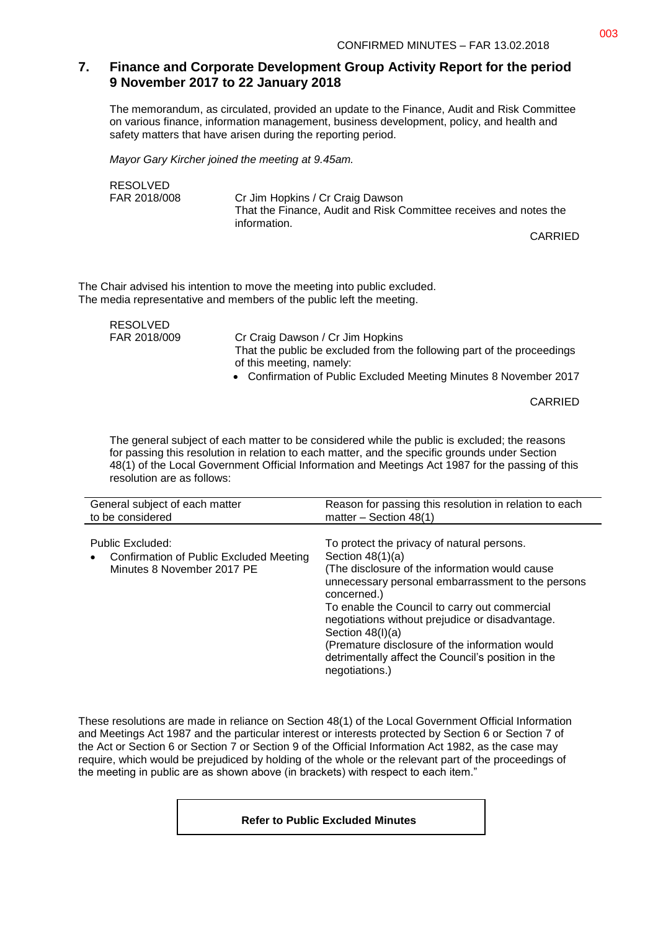# **7. Finance and Corporate Development Group Activity Report for the period 9 November 2017 to 22 January 2018**

The memorandum, as circulated, provided an update to the Finance, Audit and Risk Committee on various finance, information management, business development, policy, and health and safety matters that have arisen during the reporting period.

*Mayor Gary Kircher joined the meeting at 9.45am.*

RESOLVED

FAR 2018/008 Cr Jim Hopkins / Cr Craig Dawson That the Finance, Audit and Risk Committee receives and notes the information.

CARRIED

The Chair advised his intention to move the meeting into public excluded. The media representative and members of the public left the meeting.

RESOLVED

FAR 2018/009 Cr Craig Dawson / Cr Jim Hopkins That the public be excluded from the following part of the proceedings of this meeting, namely:

Confirmation of Public Excluded Meeting Minutes 8 November 2017

CARRIED

The general subject of each matter to be considered while the public is excluded; the reasons for passing this resolution in relation to each matter, and the specific grounds under Section 48(1) of the Local Government Official Information and Meetings Act 1987 for the passing of this resolution are as follows:

| General subject of each matter                                                                         | Reason for passing this resolution in relation to each                                                                                                                                                                                                                                                                                                                                                                                     |
|--------------------------------------------------------------------------------------------------------|--------------------------------------------------------------------------------------------------------------------------------------------------------------------------------------------------------------------------------------------------------------------------------------------------------------------------------------------------------------------------------------------------------------------------------------------|
| to be considered                                                                                       | matter $-$ Section 48(1)                                                                                                                                                                                                                                                                                                                                                                                                                   |
| Public Excluded:<br>Confirmation of Public Excluded Meeting<br>$\bullet$<br>Minutes 8 November 2017 PE | To protect the privacy of natural persons.<br>Section $48(1)(a)$<br>(The disclosure of the information would cause<br>unnecessary personal embarrassment to the persons<br>concerned.)<br>To enable the Council to carry out commercial<br>negotiations without prejudice or disadvantage.<br>Section $48(l)(a)$<br>(Premature disclosure of the information would<br>detrimentally affect the Council's position in the<br>negotiations.) |

These resolutions are made in reliance on Section 48(1) of the Local Government Official Information and Meetings Act 1987 and the particular interest or interests protected by Section 6 or Section 7 of the Act or Section 6 or Section 7 or Section 9 of the Official Information Act 1982, as the case may require, which would be prejudiced by holding of the whole or the relevant part of the proceedings of the meeting in public are as shown above (in brackets) with respect to each item."

#### **Refer to Public Excluded Minutes**